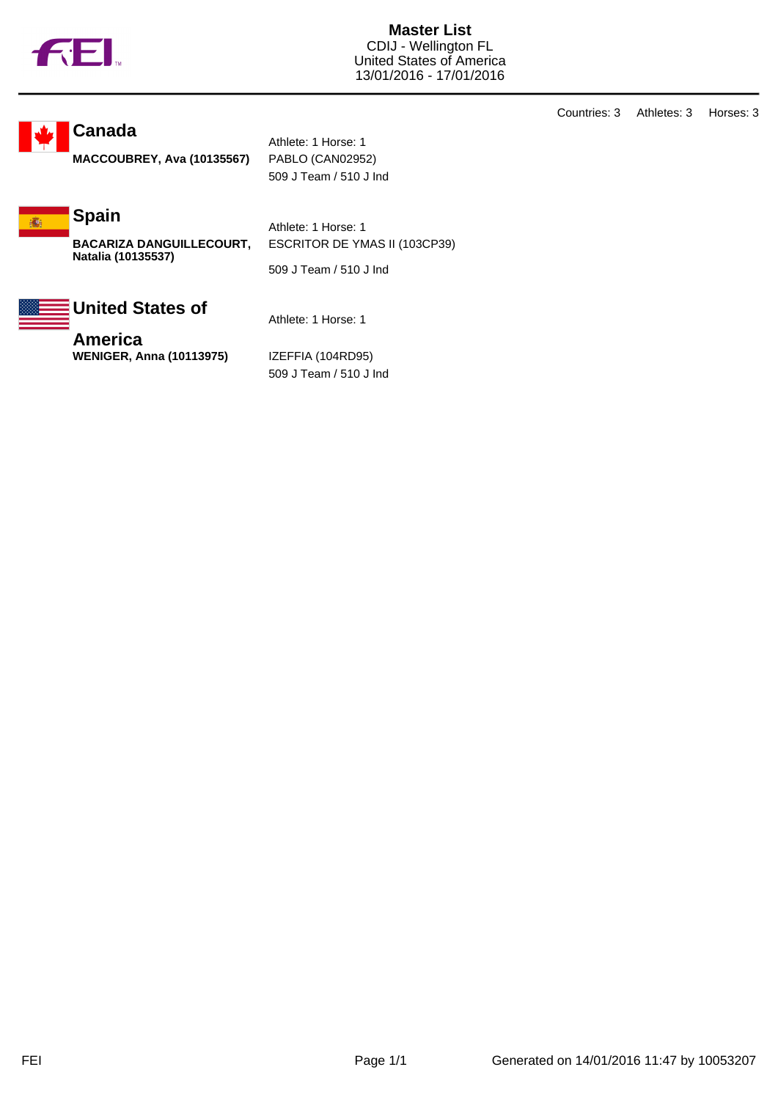

**Master List** CDIJ - Wellington FL United States of America 13/01/2016 - 17/01/2016

**Canada**

**MACCOUBREY, Ava (10135567)** PABLO (CAN02952)

Athlete: 1 Horse: 1 509 J Team / 510 J Ind

**Spain** 痛!

> **BACARIZA DANGUILLECOURT, Natalia (10135537)**

Athlete: 1 Horse: 1 ESCRITOR DE YMAS II (103CP39)

509 J Team / 510 J Ind

## **United States of**

**America WENIGER, Anna (10113975)** IZEFFIA (104RD95)

Athlete: 1 Horse: 1

509 J Team / 510 J Ind

Countries: 3 Athletes: 3 Horses: 3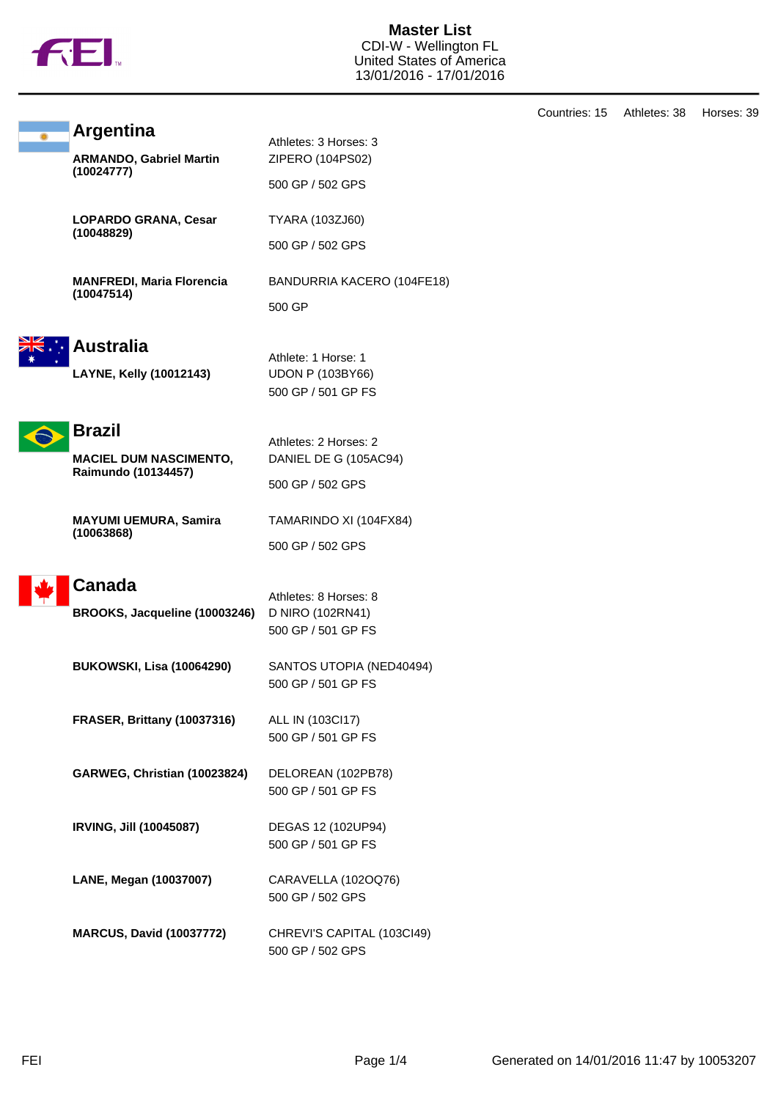

**Master List** CDI-W - Wellington FL United States of America 13/01/2016 - 17/01/2016

|   |                                                    |                                           | Countries: 15 | Athletes: 38 | Horses: 39 |
|---|----------------------------------------------------|-------------------------------------------|---------------|--------------|------------|
| ۵ | <b>Argentina</b><br><b>ARMANDO, Gabriel Martin</b> | Athletes: 3 Horses: 3<br>ZIPERO (104PS02) |               |              |            |
|   | (10024777)                                         | 500 GP / 502 GPS                          |               |              |            |
|   | <b>LOPARDO GRANA, Cesar</b><br>(10048829)          | TYARA (103ZJ60)                           |               |              |            |
|   |                                                    | 500 GP / 502 GPS                          |               |              |            |
|   | <b>MANFREDI, Maria Florencia</b><br>(10047514)     | BANDURRIA KACERO (104FE18)                |               |              |            |
|   |                                                    | 500 GP                                    |               |              |            |
|   | <b>Australia</b>                                   | Athlete: 1 Horse: 1                       |               |              |            |
|   | LAYNE, Kelly (10012143)                            | <b>UDON P (103BY66)</b>                   |               |              |            |
|   |                                                    | 500 GP / 501 GP FS                        |               |              |            |
|   | <b>Brazil</b>                                      | Athletes: 2 Horses: 2                     |               |              |            |
|   | <b>MACIEL DUM NASCIMENTO,</b>                      | DANIEL DE G (105AC94)                     |               |              |            |
|   | Raimundo (10134457)                                | 500 GP / 502 GPS                          |               |              |            |
|   | <b>MAYUMI UEMURA, Samira</b><br>(10063868)         | TAMARINDO XI (104FX84)                    |               |              |            |
|   |                                                    | 500 GP / 502 GPS                          |               |              |            |
|   | <b>Canada</b>                                      | Athletes: 8 Horses: 8                     |               |              |            |
|   | BROOKS, Jacqueline (10003246)                      | D NIRO (102RN41)                          |               |              |            |
|   |                                                    | 500 GP / 501 GP FS                        |               |              |            |
|   | <b>BUKOWSKI, Lisa (10064290)</b>                   | SANTOS UTOPIA (NED40494)                  |               |              |            |
|   |                                                    | 500 GP / 501 GP FS                        |               |              |            |
|   | FRASER, Brittany (10037316)                        | ALL IN (103Cl17)                          |               |              |            |
|   |                                                    | 500 GP / 501 GP FS                        |               |              |            |
|   | GARWEG, Christian (10023824)                       | DELOREAN (102PB78)                        |               |              |            |
|   |                                                    | 500 GP / 501 GP FS                        |               |              |            |
|   | <b>IRVING, Jill (10045087)</b>                     | DEGAS 12 (102UP94)                        |               |              |            |
|   |                                                    | 500 GP / 501 GP FS                        |               |              |            |
|   | LANE, Megan (10037007)                             | CARAVELLA (102OQ76)                       |               |              |            |
|   |                                                    | 500 GP / 502 GPS                          |               |              |            |
|   | <b>MARCUS, David (10037772)</b>                    | CHREVI'S CAPITAL (103CI49)                |               |              |            |
|   |                                                    | 500 GP / 502 GPS                          |               |              |            |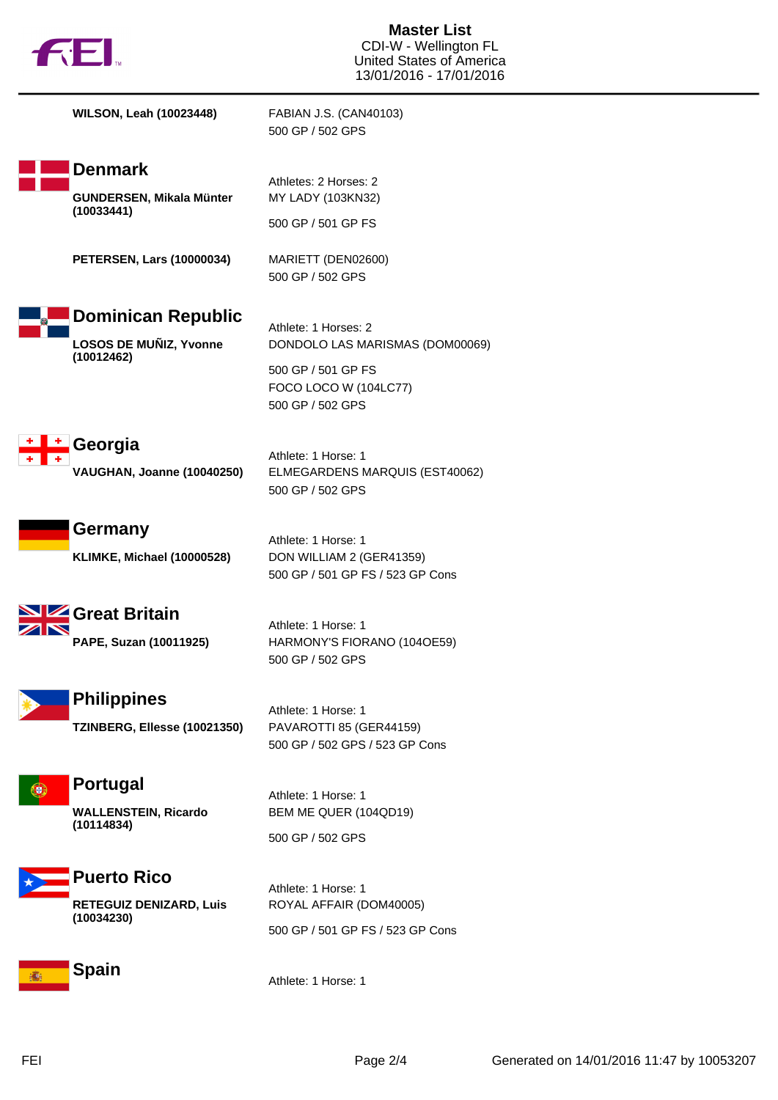

**WILSON, Leah (10023448)** FABIAN J.S. (CAN40103) 500 GP / 502 GPS **Denmark** Athletes: 2 Horses: 2 **GUNDERSEN, Mikala Münter** MY LADY (103KN32) **(10033441)** 500 GP / 501 GP FS **PETERSEN, Lars (10000034)** MARIETT (DEN02600) 500 GP / 502 GPS **Dominican Republic** Athlete: 1 Horses: 2 **LOSOS DE MUÑIZ, Yvonne** DONDOLO LAS MARISMAS (DOM00069) **(10012462)** 500 GP / 501 GP FS FOCO LOCO W (104LC77) 500 GP / 502 GPS l ÷ **Georgia** Athlete: 1 Horse: 1 **VAUGHAN, Joanne (10040250)** ELMEGARDENS MARQUIS (EST40062) 500 GP / 502 GPS **Germany** Athlete: 1 Horse: 1 **KLIMKE, Michael (10000528)** DON WILLIAM 2 (GER41359) 500 GP / 501 GP FS / 523 GP Cons **Great Britain** Athlete: 1 Horse: 1 **PAPE, Suzan (10011925)** HARMONY'S FIORANO (104OE59) 500 GP / 502 GPS **Philippines** Athlete: 1 Horse: 1 **TZINBERG, Ellesse (10021350)** PAVAROTTI 85 (GER44159) 500 GP / 502 GPS / 523 GP Cons **Portugal** Œ. Athlete: 1 Horse: 1 BEM ME QUER (104QD19) **WALLENSTEIN, Ricardo (10114834)** 500 GP / 502 GPS **Puerto Rico** Athlete: 1 Horse: 1 **RETEGUIZ DENIZARD, Luis** ROYAL AFFAIR (DOM40005) **(10034230)** 500 GP / 501 GP FS / 523 GP Cons



Athlete: 1 Horse: 1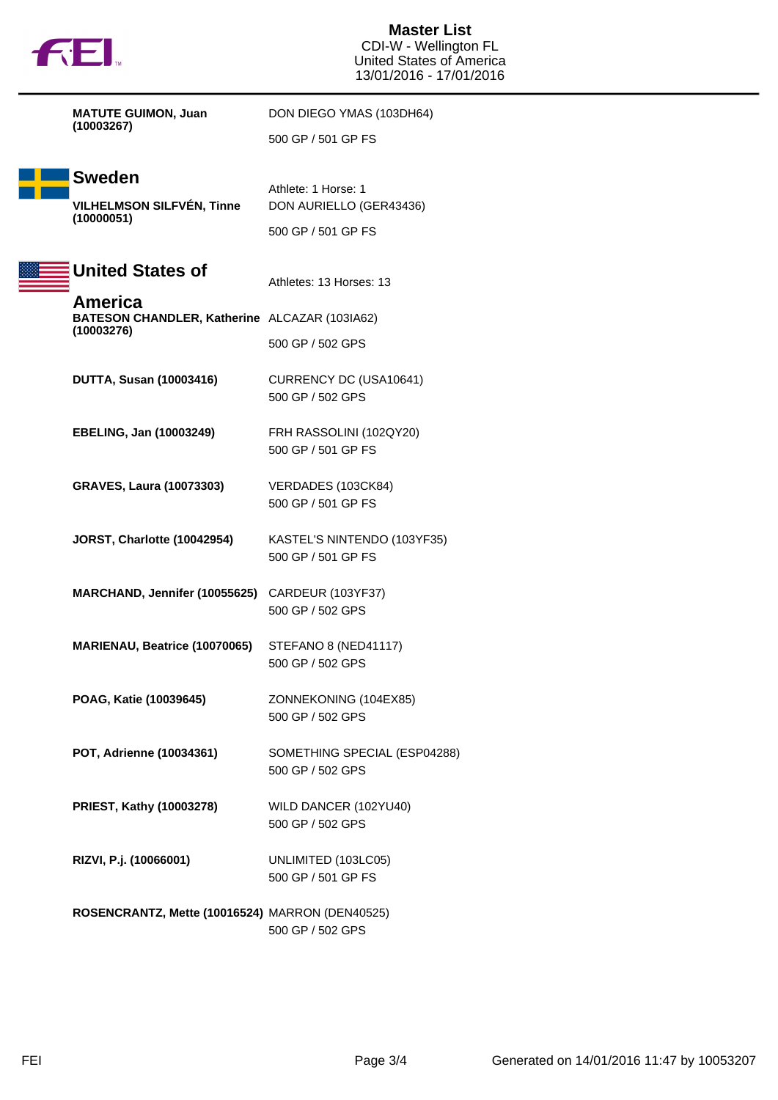|  |  | N |
|--|--|---|
|  |  |   |

**Master List** CDI-W - Wellington FL United States of America 13/01/2016 - 17/01/2016

|  | <b>MATUTE GUIMON, Juan</b><br>(10003267)                               | DON DIEGO YMAS (103DH64)                          |  |
|--|------------------------------------------------------------------------|---------------------------------------------------|--|
|  |                                                                        | 500 GP / 501 GP FS                                |  |
|  | Sweden<br><b>VILHELMSON SILFVÉN, Tinne</b><br>(10000051)               | Athlete: 1 Horse: 1<br>DON AURIELLO (GER43436)    |  |
|  |                                                                        | 500 GP / 501 GP FS                                |  |
|  | <b>United States of</b>                                                | Athletes: 13 Horses: 13                           |  |
|  | America<br>BATESON CHANDLER, Katherine ALCAZAR (103IA62)<br>(10003276) |                                                   |  |
|  |                                                                        | 500 GP / 502 GPS                                  |  |
|  | <b>DUTTA, Susan (10003416)</b>                                         | CURRENCY DC (USA10641)<br>500 GP / 502 GPS        |  |
|  | EBELING, Jan (10003249)                                                | FRH RASSOLINI (102QY20)<br>500 GP / 501 GP FS     |  |
|  | <b>GRAVES, Laura (10073303)</b>                                        | VERDADES (103CK84)<br>500 GP / 501 GP FS          |  |
|  | <b>JORST, Charlotte (10042954)</b>                                     | KASTEL'S NINTENDO (103YF35)<br>500 GP / 501 GP FS |  |
|  | MARCHAND, Jennifer (10055625) CARDEUR (103YF37)                        | 500 GP / 502 GPS                                  |  |
|  | MARIENAU, Beatrice (10070065)                                          | STEFANO 8 (NED41117)<br>500 GP / 502 GPS          |  |
|  | POAG, Katie (10039645)                                                 | ZONNEKONING (104EX85)<br>500 GP / 502 GPS         |  |
|  | POT, Adrienne (10034361)                                               | SOMETHING SPECIAL (ESP04288)<br>500 GP / 502 GPS  |  |
|  | PRIEST, Kathy (10003278)                                               | WILD DANCER (102YU40)<br>500 GP / 502 GPS         |  |
|  | RIZVI, P.j. (10066001)                                                 | UNLIMITED (103LC05)<br>500 GP / 501 GP FS         |  |
|  | ROSENCRANTZ, Mette (10016524) MARRON (DEN40525)                        | 500 GP / 502 GPS                                  |  |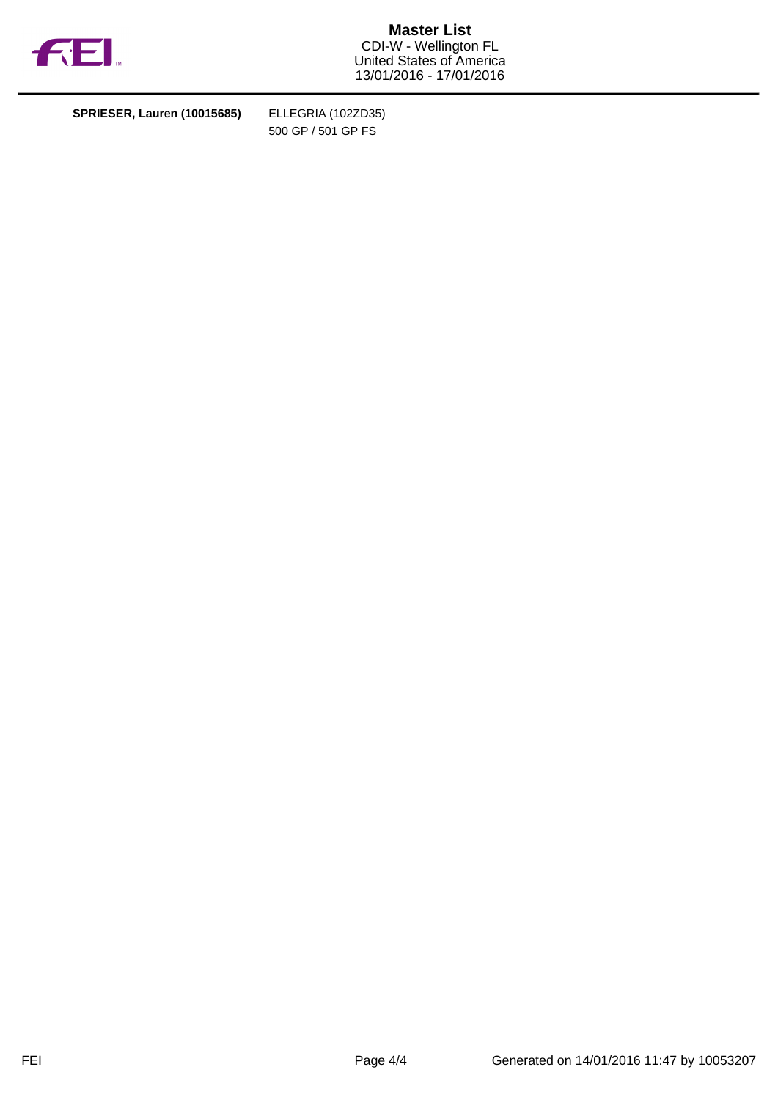

**Master List** CDI-W - Wellington FL United States of America 13/01/2016 - 17/01/2016

**SPRIESER, Lauren (10015685)** ELLEGRIA (102ZD35)

500 GP / 501 GP FS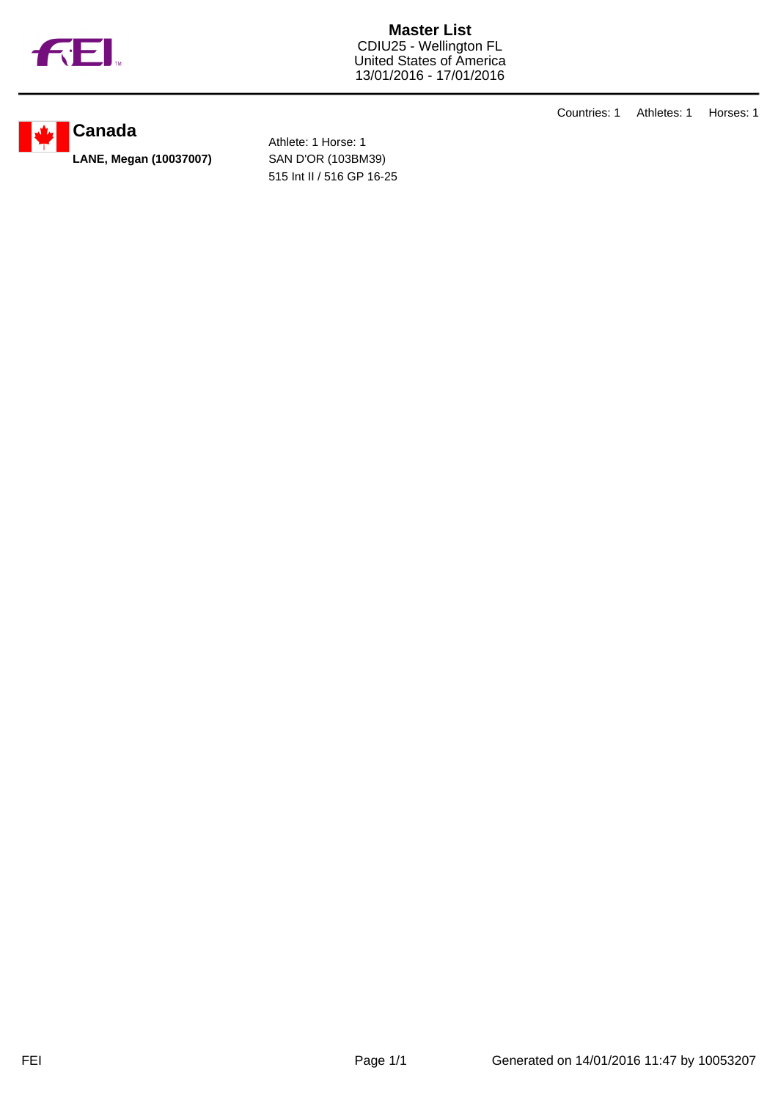

**Master List** CDIU25 - Wellington FL United States of America 13/01/2016 - 17/01/2016

**Canada**

Athlete: 1 Horse: 1 **LANE, Megan (10037007)** SAN D'OR (103BM39) 515 Int II / 516 GP 16-25 Countries: 1 Athletes: 1 Horses: 1